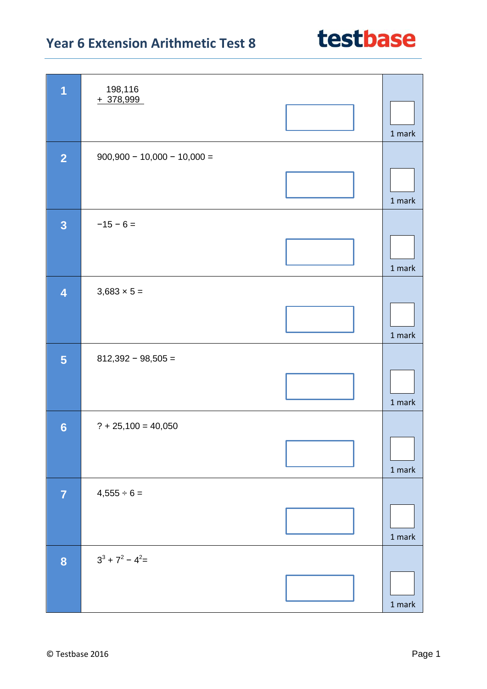

| $\overline{1}$          | 198,116                       |        |
|-------------------------|-------------------------------|--------|
|                         | $+378,999$                    |        |
|                         |                               |        |
|                         |                               |        |
|                         |                               | 1 mark |
|                         |                               |        |
| $\overline{2}$          | $900,900 - 10,000 - 10,000 =$ |        |
|                         |                               |        |
|                         |                               |        |
|                         |                               |        |
|                         |                               | 1 mark |
|                         |                               |        |
| $\overline{\mathbf{3}}$ | $-15 - 6 =$                   |        |
|                         |                               |        |
|                         |                               |        |
|                         |                               | 1 mark |
|                         |                               |        |
| $\overline{\mathbf{4}}$ | $3,683 \times 5 =$            |        |
|                         |                               |        |
|                         |                               |        |
|                         |                               |        |
|                         |                               | 1 mark |
|                         |                               |        |
| 5                       | $812,392 - 98,505 =$          |        |
|                         |                               |        |
|                         |                               |        |
|                         |                               | 1 mark |
|                         |                               |        |
| $6\phantom{1}6$         | $? + 25,100 = 40,050$         |        |
|                         |                               |        |
|                         |                               |        |
|                         |                               |        |
|                         |                               | 1 mark |
|                         |                               |        |
| $\overline{7}$          | $4,555 \div 6 =$              |        |
|                         |                               |        |
|                         |                               |        |
|                         |                               | 1 mark |
|                         |                               |        |
| 8                       | $3^3 + 7^2 - 4^2 =$           |        |
|                         |                               |        |
|                         |                               |        |
|                         |                               |        |
|                         |                               | 1 mark |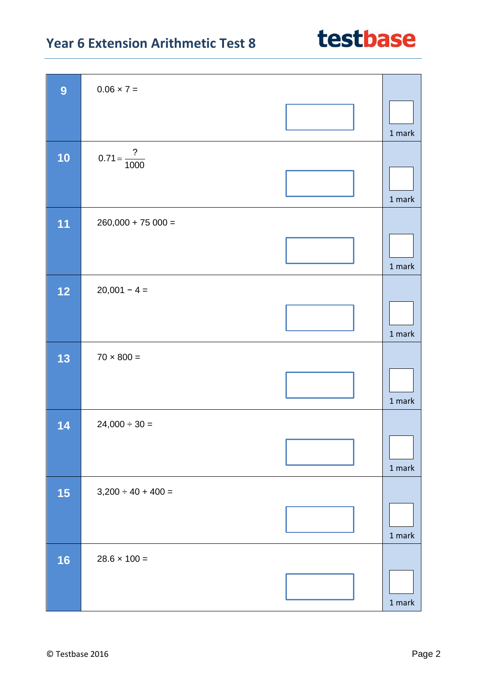| 9    | $0.06 \times 7 =$       |               |
|------|-------------------------|---------------|
|      |                         | 1 mark        |
| 10   | $0.71 = \frac{?}{1000}$ |               |
|      |                         | 1 mark        |
| 11   | $260,000 + 75000 =$     |               |
|      |                         | 1 mark        |
| $12$ | $20,001 - 4 =$          |               |
|      |                         | 1 mark        |
| 13   | $70 \times 800 =$       |               |
|      |                         | 1 mark        |
| 14   | $24,000 \div 30 =$      |               |
|      |                         | $1$ mark $\,$ |
| 15   | $3,200 \div 40 + 400 =$ |               |
|      |                         | $1$ mark      |
| 16   | $28.6 \times 100 =$     |               |
|      |                         | $1$ mark $\,$ |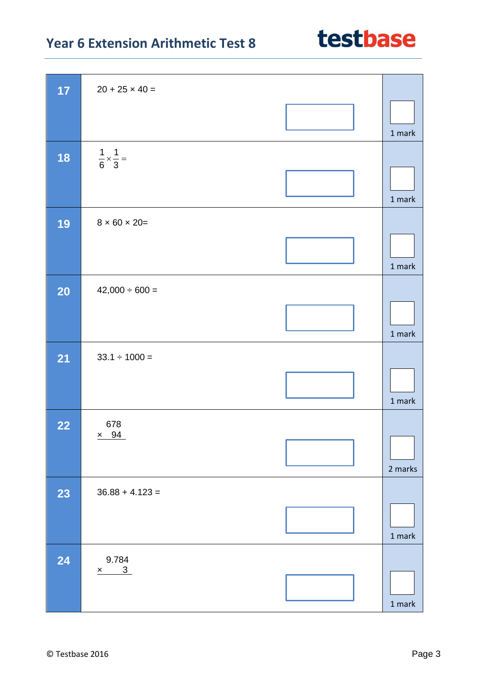| 17        | $20 + 25 \times 40 =$                          |                                   |
|-----------|------------------------------------------------|-----------------------------------|
|           |                                                | 1 mark                            |
| 18        | $\frac{1}{6} \times \frac{1}{3} =$             | 1 mark                            |
| 19        | $8 \times 60 \times 20 =$                      | $1$ mark                          |
| <b>20</b> | $42,000 \div 600 =$                            | 1 mark                            |
| <b>21</b> | $33.1 \div 1000 =$                             | 1 mark                            |
| 22        | 678<br>$\times$ 94                             | 2 marks                           |
| 23        | $36.88 + 4.123 =$                              | 1 mark                            |
| 24        | 9.784<br>$\overline{\phantom{a}3}$<br>$\times$ | $1 \ensuremath{\, \mathrm{mark}}$ |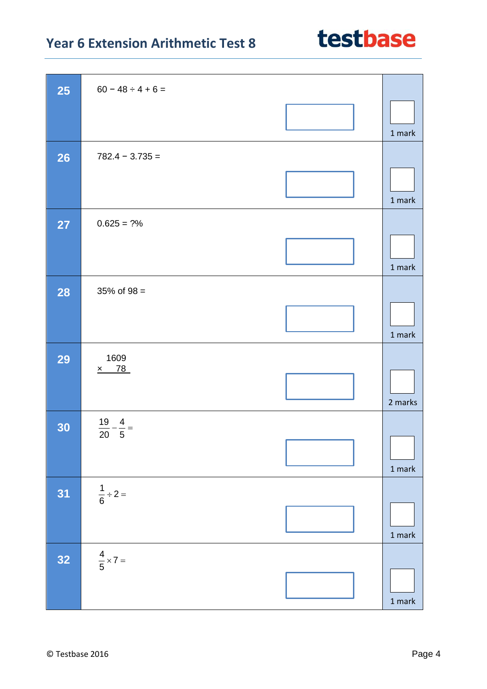

| <b>25</b> | $60 - 48 \div 4 + 6 =$           |                                   |
|-----------|----------------------------------|-----------------------------------|
|           |                                  | 1 mark                            |
| <b>26</b> | $782.4 - 3.735 =$                |                                   |
|           |                                  | 1 mark                            |
| <b>27</b> | $0.625 = ?%$                     |                                   |
|           |                                  | 1 mark                            |
| <b>28</b> | $35\%$ of $98 =$                 |                                   |
|           |                                  | 1 mark                            |
| 29        | 1609                             |                                   |
|           | $\times$ 78                      | 2 marks                           |
| 30        | $\frac{19}{20}$<br>$\frac{4}{5}$ |                                   |
|           |                                  | $1$ mark                          |
| 31        | $\frac{1}{6} \div 2 =$           |                                   |
|           |                                  | $1$ mark                          |
| 32        | $\frac{4}{5} \times 7 =$         |                                   |
|           |                                  | $1 \ensuremath{\, \mathrm{mark}}$ |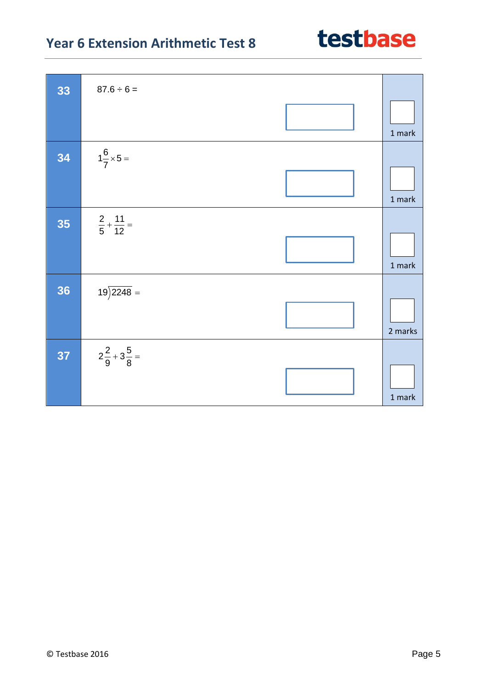| 33 | $87.6 \div 6 =$                |          |
|----|--------------------------------|----------|
|    |                                | 1 mark   |
| 34 | $1\frac{6}{7} \times 5 =$      |          |
|    |                                | 1 mark   |
| 35 | $rac{2}{5} + \frac{11}{12} =$  |          |
|    |                                | $1$ mark |
| 36 | $19\overline{\smash{)}2248}$ = |          |
|    |                                | 2 marks  |
| 37 | $2\frac{2}{9}+3\frac{5}{8}=$   |          |
|    |                                | $1$ mark |

Т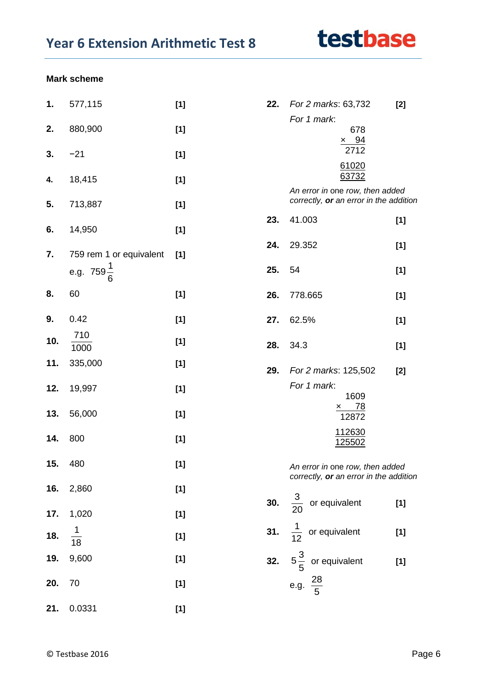# testbase

#### **Mark scheme**

| 1.  | 577,115                 | $[1]$ | 22. | For 2 marks: 63,732                                                       | $[2]$ |
|-----|-------------------------|-------|-----|---------------------------------------------------------------------------|-------|
| 2.  | 880,900                 | [1]   |     | For 1 mark:<br>678                                                        |       |
| 3.  | $-21$                   | $[1]$ |     | $\times$ 94<br>2712                                                       |       |
| 4.  | 18,415                  | $[1]$ |     | 61020<br>63732                                                            |       |
| 5.  | 713,887                 | [1]   |     | An error in one row, then added<br>correctly, or an error in the addition |       |
| 6.  | 14,950                  | $[1]$ | 23. | 41.003                                                                    | $[1]$ |
| 7.  | 759 rem 1 or equivalent | [1]   | 24. | 29.352                                                                    | $[1]$ |
|     | e.g. $759\frac{1}{6}$   |       | 25. | 54                                                                        | $[1]$ |
| 8.  | 60                      | $[1]$ | 26. | 778.665                                                                   | $[1]$ |
| 9.  | 0.42                    | $[1]$ | 27. | 62.5%                                                                     | $[1]$ |
| 10. | 710<br>1000             | $[1]$ | 28. | 34.3                                                                      | $[1]$ |
| 11. | 335,000                 | $[1]$ | 29. | For 2 marks: 125,502                                                      | $[2]$ |
| 12. | 19,997                  | $[1]$ |     | For 1 mark:<br>1609                                                       |       |
| 13. | 56,000                  | $[1]$ |     | $\times$ 78<br>12872                                                      |       |
| 14. | 800                     | $[1]$ |     | 112630<br>125502                                                          |       |
| 15. | 480                     | $[1]$ |     | An error in one row, then added<br>correctly, or an error in the addition |       |
| 16. | 2,860                   | $[1]$ |     | <b>30.</b> $\frac{3}{20}$ or equivalent                                   | $[1]$ |
| 17. | 1,020                   | $[1]$ |     |                                                                           |       |
| 18. | $\frac{1}{18}$          | $[1]$ |     | 31. $\frac{1}{12}$ or equivalent                                          | $[1]$ |
| 19. | 9,600                   | $[1]$ |     | 32. $5\frac{3}{5}$ or equivalent                                          | $[1]$ |
| 20. | 70                      | $[1]$ |     | e.g. $\frac{28}{5}$                                                       |       |
| 21. | 0.0331                  | $[1]$ |     |                                                                           |       |